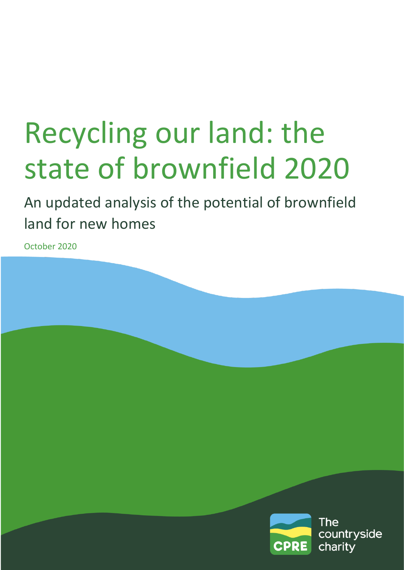# Recycling our land: the state of brownfield 2020

An updated analysis of the potential of brownfield land for new homes

October 2020

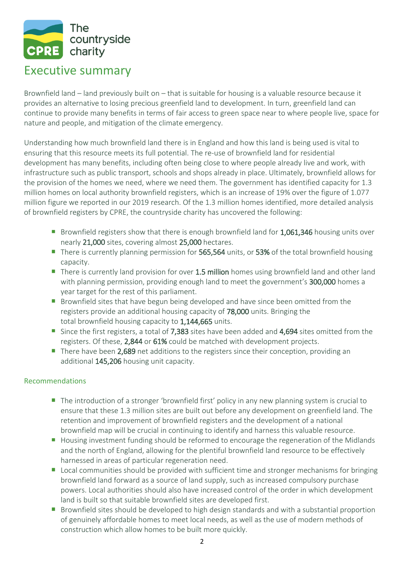

## Executive summary

Brownfield land – land previously built on – that is suitable for housing is a valuable resource because it provides an alternative to losing precious greenfield land to development. In turn, greenfield land can continue to provide many benefits in terms of fair access to green space near to where people live, space for nature and people, and mitigation of the climate emergency.

Understanding how much brownfield land there is in England and how this land is being used is vital to ensuring that this resource meets its full potential. The re-use of brownfield land for residential development has many benefits, including often being close to where people already live and work, with infrastructure such as public transport, schools and shops already in place. Ultimately, brownfield allows for the provision of the homes we need, where we need them. The government has identified capacity for 1.3 million homes on local authority brownfield registers, which is an increase of 19% over the figure of 1.077 million figure we reported in our 2019 research. Of the 1.3 million homes identified, more detailed analysis of brownfield registers by CPRE, the countryside charity has uncovered the following:

- Brownfield registers show that there is enough brownfield land for 1,061,346 housing units over nearly 21,000 sites, covering almost 25,000 hectares.
- There is currently planning permission for 565,564 units, or 53% of the total brownfield housing capacity.
- There is currently land provision for over 1.5 million homes using brownfield land and other land with planning permission, providing enough land to meet the government's 300,000 homes a year target for the rest of this parliament.
- $\mathcal{L}_{\mathcal{A}}$ Brownfield sites that have begun being developed and have since been omitted from the registers provide an additional housing capacity of 78,000 units. Bringing the total brownfield housing capacity to 1,144,665 units.
- Since the first registers, a total of 7,383 sites have been added and 4,694 sites omitted from the registers. Of these, 2,844 or 61% could be matched with development projects.
- There have been 2,689 net additions to the registers since their conception, providing an additional 145,206 housing unit capacity.

#### Recommendations

- The introduction of a stronger 'brownfield first' policy in any new planning system is crucial to ensure that these 1.3 million sites are built out before any development on greenfield land. The retention and improvement of brownfield registers and the development of a national brownfield map will be crucial in continuing to identify and harness this valuable resource.
- Housing investment funding should be reformed to encourage the regeneration of the Midlands and the north of England, allowing for the plentiful brownfield land resource to be effectively harnessed in areas of particular regeneration need.
- **Lacal communities should be provided with sufficient time and stronger mechanisms for bringing** brownfield land forward as a source of land supply, such as increased compulsory purchase powers. Local authorities should also have increased control of the order in which development land is built so that suitable brownfield sites are developed first.
- **Brownfield sites should be developed to high design standards and with a substantial proportion** of genuinely affordable homes to meet local needs, as well as the use of modern methods of construction which allow homes to be built more quickly.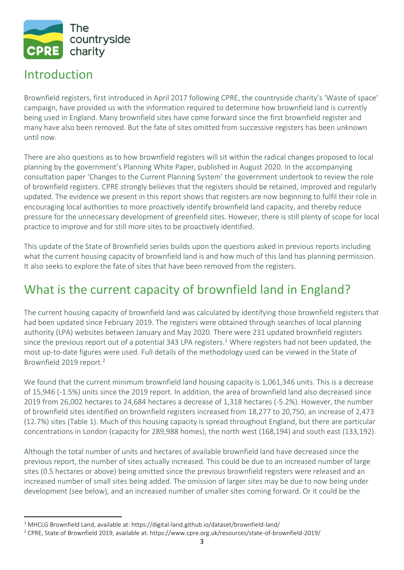

## Introduction

 $\overline{a}$ 

Brownfield registers, first introduced in April 2017 following CPRE, the countryside charity's 'Waste of space' campaign, have provided us with the information required to determine how brownfield land is currently being used in England. Many brownfield sites have come forward since the first brownfield register and many have also been removed. But the fate of sites omitted from successive registers has been unknown until now.

There are also questions as to how brownfield registers will sit within the radical changes proposed to local planning by the government's Planning White Paper, published in August 2020. In the accompanying consultation paper 'Changes to the Current Planning System' the government undertook to review the role of brownfield registers. CPRE strongly believes that the registers should be retained, improved and regularly updated. The evidence we present in this report shows that registers are now beginning to fulfil their role in encouraging local authorities to more proactively identify brownfield land capacity, and thereby reduce pressure for the unnecessary development of greenfield sites. However, there is still plenty of scope for local practice to improve and for still more sites to be proactively identified.

This update of the State of Brownfield series builds upon the questions asked in previous reports including what the current housing capacity of brownfield land is and how much of this land has planning permission. It also seeks to explore the fate of sites that have been removed from the registers.

# What is the current capacity of brownfield land in England?

The current housing capacity of brownfield land was calculated by identifying those brownfield registers that had been updated since February 2019. The registers were obtained through searches of local planning authority (LPA) websites between January and May 2020. There were 231 updated brownfield registers since the previous report out of a potential 343 LPA registers.<sup>1</sup> Where registers had not been updated, the most up-to-date figures were used. Full details of the methodology used can be viewed in the State of Brownfield 2019 report. 2

We found that the current minimum brownfield land housing capacity is 1,061,346 units. This is a decrease of 15,946 (-1.5%) units since the 2019 report. In addition, the area of brownfield land also decreased since 2019 from 26,002 hectares to 24,684 hectares a decrease of 1,318 hectares (-5.2%). However, the number of brownfield sites identified on brownfield registers increased from 18,277 to 20,750, an increase of 2,473 (12.7%) sites (Table 1). Much of this housing capacity is spread throughout England, but there are particular concentrations in London (capacity for 289,988 homes), the north west (168,194) and south east (133,192).

Although the total number of units and hectares of available brownfield land have decreased since the previous report, the number of sites actually increased. This could be due to an increased number of large sites (0.5 hectares or above) being omitted since the previous brownfield registers were released and an increased number of small sites being added. The omission of larger sites may be due to now being under development (see below), and an increased number of smaller sites coming forward. Or it could be the

<sup>&</sup>lt;sup>1</sup> MHCLG Brownfield Land, available at: https://digital-land.github.io/dataset/brownfield-land/

<sup>2</sup> CPRE, State of Brownfield 2019, available at: https://www.cpre.org.uk/resources/state-of-brownfield-2019/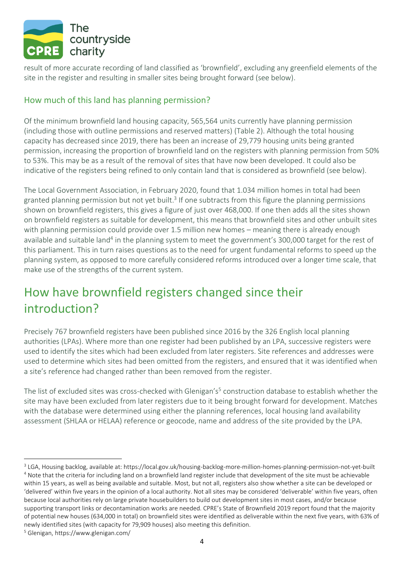

result of more accurate recording of land classified as 'brownfield', excluding any greenfield elements of the site in the register and resulting in smaller sites being brought forward (see below).

### How much of this land has planning permission?

Of the minimum brownfield land housing capacity, 565,564 units currently have planning permission (including those with outline permissions and reserved matters) (Table 2). Although the total housing capacity has decreased since 2019, there has been an increase of 29,779 housing units being granted permission, increasing the proportion of brownfield land on the registers with planning permission from 50% to 53%. This may be as a result of the removal of sites that have now been developed. It could also be indicative of the registers being refined to only contain land that is considered as brownfield (see below).

The Local Government Association, in February 2020, found that 1.034 million homes in total had been granted planning permission but not yet built.<sup>3</sup> If one subtracts from this figure the planning permissions shown on brownfield registers, this gives a figure of just over 468,000. If one then adds all the sites shown on brownfield registers as suitable for development, this means that brownfield sites and other unbuilt sites with planning permission could provide over 1.5 million new homes – meaning there is already enough available and suitable land<sup>4</sup> in the planning system to meet the government's 300,000 target for the rest of this parliament. This in turn raises questions as to the need for urgent fundamental reforms to speed up the planning system, as opposed to more carefully considered reforms introduced over a longer time scale, that make use of the strengths of the current system.

# How have brownfield registers changed since their introduction?

Precisely 767 brownfield registers have been published since 2016 by the 326 English local planning authorities (LPAs). Where more than one register had been published by an LPA, successive registers were used to identify the sites which had been excluded from later registers. Site references and addresses were used to determine which sites had been omitted from the registers, and ensured that it was identified when a site's reference had changed rather than been removed from the register.

The list of excluded sites was cross-checked with Glenigan's<sup>5</sup> construction database to establish whether the site may have been excluded from later registers due to it being brought forward for development. Matches with the database were determined using either the planning references, local housing land availability assessment (SHLAA or HELAA) reference or geocode, name and address of the site provided by the LPA.

 $\overline{a}$ 

<sup>3</sup> LGA, Housing backlog, available at: https://local.gov.uk/housing-backlog-more-million-homes-planning-permission-not-yet-built <sup>4</sup> Note that the criteria for including land on a brownfield land register include that development of the site must be achievable within 15 years, as well as being available and suitable. Most, but not all, registers also show whether a site can be developed or 'delivered' within five years in the opinion of a local authority. Not all sites may be considered 'deliverable' within five years, often because local authorities rely on large private housebuilders to build out development sites in most cases, and/or because supporting transport links or decontamination works are needed. CPRE's State of Brownfield 2019 report found that the majority of potential new houses (634,000 in total) on brownfield sites were identified as deliverable within the next five years, with 63% of newly identified sites (with capacity for 79,909 houses) also meeting this definition.

<sup>5</sup> Glenigan, https://www.glenigan.com/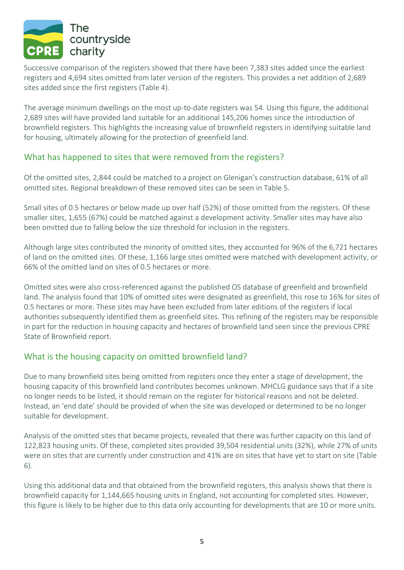

Successive comparison of the registers showed that there have been 7,383 sites added since the earliest registers and 4,694 sites omitted from later version of the registers. This provides a net addition of 2,689 sites added since the first registers (Table 4).

The average minimum dwellings on the most up-to-date registers was 54. Using this figure, the additional 2,689 sites will have provided land suitable for an additional 145,206 homes since the introduction of brownfield registers. This highlights the increasing value of brownfield registers in identifying suitable land for housing, ultimately allowing for the protection of greenfield land.

#### What has happened to sites that were removed from the registers?

Of the omitted sites, 2,844 could be matched to a project on Glenigan's construction database, 61% of all omitted sites. Regional breakdown of these removed sites can be seen in Table 5.

Small sites of 0.5 hectares or below made up over half (52%) of those omitted from the registers. Of these smaller sites, 1,655 (67%) could be matched against a development activity. Smaller sites may have also been omitted due to falling below the size threshold for inclusion in the registers.

Although large sites contributed the minority of omitted sites, they accounted for 96% of the 6,721 hectares of land on the omitted sites. Of these, 1,166 large sites omitted were matched with development activity, or 66% of the omitted land on sites of 0.5 hectares or more.

Omitted sites were also cross-referenced against the published OS database of greenfield and brownfield land. The analysis found that 10% of omitted sites were designated as greenfield, this rose to 16% for sites of 0.5 hectares or more. These sites may have been excluded from later editions of the registers if local authorities subsequently identified them as greenfield sites. This refining of the registers may be responsible in part for the reduction in housing capacity and hectares of brownfield land seen since the previous CPRE State of Brownfield report.

#### What is the housing capacity on omitted brownfield land?

Due to many brownfield sites being omitted from registers once they enter a stage of development, the housing capacity of this brownfield land contributes becomes unknown. MHCLG guidance says that if a site no longer needs to be listed, it should remain on the register for historical reasons and not be deleted. Instead, an 'end date' should be provided of when the site was developed or determined to be no longer suitable for development.

Analysis of the omitted sites that became projects, revealed that there was further capacity on this land of 122,823 housing units. Of these, completed sites provided 39,504 residential units (32%), while 27% of units were on sites that are currently under construction and 41% are on sites that have yet to start on site (Table 6).

Using this additional data and that obtained from the brownfield registers, this analysis shows that there is brownfield capacity for 1,144,665 housing units in England, not accounting for completed sites. However, this figure is likely to be higher due to this data only accounting for developments that are 10 or more units.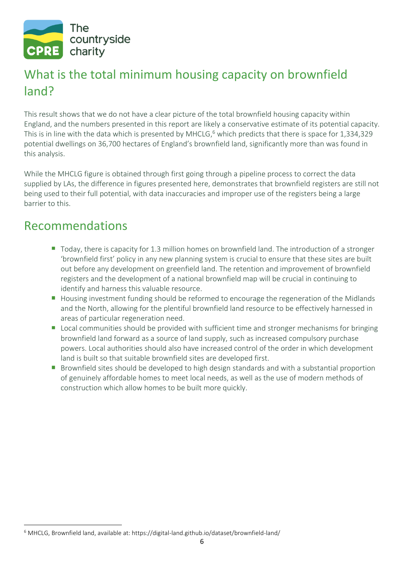

# What is the total minimum housing capacity on brownfield land?

This result shows that we do not have a clear picture of the total brownfield housing capacity within England, and the numbers presented in this report are likely a conservative estimate of its potential capacity. This is in line with the data which is presented by MHCLG,<sup>6</sup> which predicts that there is space for 1,334,329 potential dwellings on 36,700 hectares of England's brownfield land, significantly more than was found in this analysis.

While the MHCLG figure is obtained through first going through a pipeline process to correct the data supplied by LAs, the difference in figures presented here, demonstrates that brownfield registers are still not being used to their full potential, with data inaccuracies and improper use of the registers being a large barrier to this.

## Recommendations

- **T** Today, there is capacity for 1.3 million homes on brownfield land. The introduction of a stronger 'brownfield first' policy in any new planning system is crucial to ensure that these sites are built out before any development on greenfield land. The retention and improvement of brownfield registers and the development of a national brownfield map will be crucial in continuing to identify and harness this valuable resource.
- Housing investment funding should be reformed to encourage the regeneration of the Midlands and the North, allowing for the plentiful brownfield land resource to be effectively harnessed in areas of particular regeneration need.
- Local communities should be provided with sufficient time and stronger mechanisms for bringing brownfield land forward as a source of land supply, such as increased compulsory purchase powers. Local authorities should also have increased control of the order in which development land is built so that suitable brownfield sites are developed first.
- **Brownfield sites should be developed to high design standards and with a substantial proportion** of genuinely affordable homes to meet local needs, as well as the use of modern methods of construction which allow homes to be built more quickly.

 $\overline{\phantom{a}}$ <sup>6</sup> MHCLG, Brownfield land, available at: https://digital-land.github.io/dataset/brownfield-land/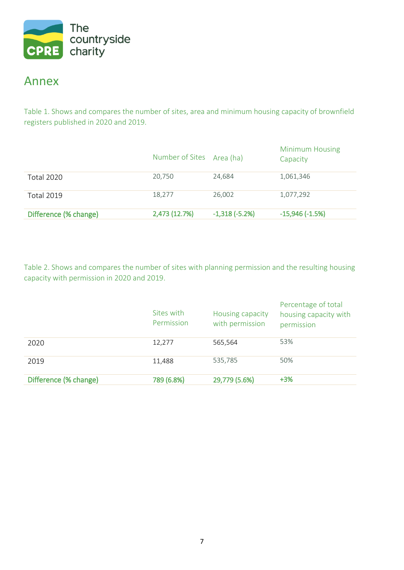

## Annex

Table 1. Shows and compares the number of sites, area and minimum housing capacity of brownfield registers published in 2020 and 2019.

|                       | Number of Sites Area (ha) |                 | <b>Minimum Housing</b><br>Capacity |
|-----------------------|---------------------------|-----------------|------------------------------------|
| <b>Total 2020</b>     | 20,750                    | 24,684          | 1,061,346                          |
| <b>Total 2019</b>     | 18,277                    | 26,002          | 1,077,292                          |
| Difference (% change) | 2,473 (12.7%)             | $-1,318(-5.2%)$ | $-15,946(-1.5%)$                   |

Table 2. Shows and compares the number of sites with planning permission and the resulting housing capacity with permission in 2020 and 2019.

|                       | Sites with<br>Permission | Housing capacity<br>with permission | Percentage of total<br>housing capacity with<br>permission |
|-----------------------|--------------------------|-------------------------------------|------------------------------------------------------------|
| 2020                  | 12,277                   | 565,564                             | 53%                                                        |
| 2019                  | 11,488                   | 535,785                             | 50%                                                        |
| Difference (% change) | 789 (6.8%)               | 29,779 (5.6%)                       | $+3%$                                                      |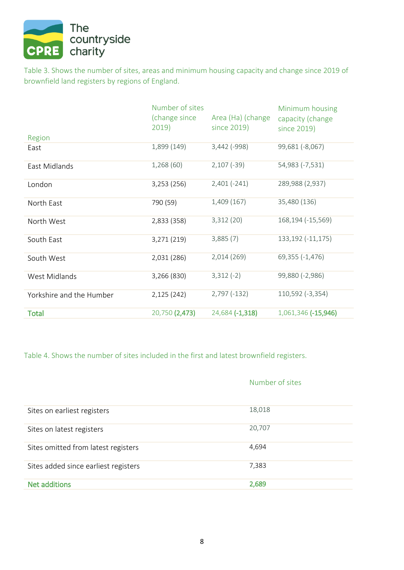

Table 3. Shows the number of sites, areas and minimum housing capacity and change since 2019 of brownfield land registers by regions of England.

|                          | Number of sites<br>(change since | Area (Ha) (change | Minimum housing<br>capacity (change |
|--------------------------|----------------------------------|-------------------|-------------------------------------|
|                          | 2019)                            | since 2019)       | since 2019)                         |
| Region                   |                                  |                   |                                     |
| East                     | 1,899 (149)                      | 3,442 (-998)      | 99,681 (-8,067)                     |
| East Midlands            | 1,268(60)                        | $2,107(-39)$      | 54,983 (-7,531)                     |
| London                   | 3,253 (256)                      | $2,401(-241)$     | 289,988 (2,937)                     |
| North East               | 790 (59)                         | 1,409 (167)       | 35,480 (136)                        |
| North West               | 2,833 (358)                      | 3,312(20)         | 168,194 (-15,569)                   |
| South East               | 3,271 (219)                      | 3,885(7)          | 133,192 (-11,175)                   |
| South West               | 2,031 (286)                      | 2,014 (269)       | 69,355 (-1,476)                     |
| West Midlands            | 3,266 (830)                      | $3,312(-2)$       | 99,880 (-2,986)                     |
| Yorkshire and the Humber | 2,125 (242)                      | $2,797(-132)$     | 110,592 (-3,354)                    |
| <b>Total</b>             | 20,750 (2,473)                   | 24,684 (-1,318)   | 1,061,346 (-15,946)                 |

Table 4. Shows the number of sites included in the first and latest brownfield registers.

|                                      | Number of sites |
|--------------------------------------|-----------------|
| Sites on earliest registers          | 18,018          |
| Sites on latest registers            | 20,707          |
| Sites omitted from latest registers  | 4,694           |
| Sites added since earliest registers | 7,383           |
| <b>Net additions</b>                 | 2,689           |